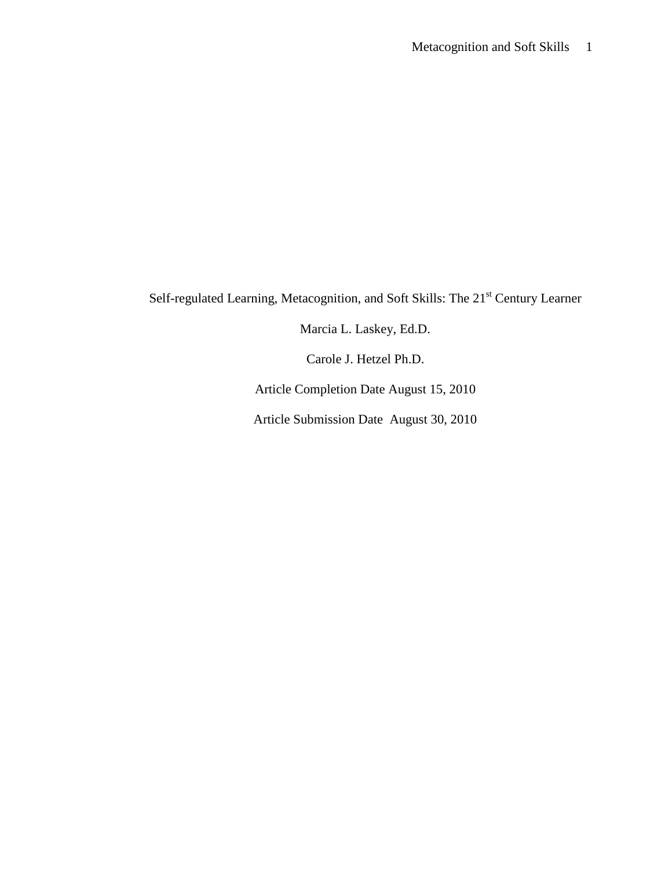Self-regulated Learning, Metacognition, and Soft Skills: The 21<sup>st</sup> Century Learner

Marcia L. Laskey, Ed.D.

Carole J. Hetzel Ph.D.

Article Completion Date August 15, 2010

Article Submission Date August 30, 2010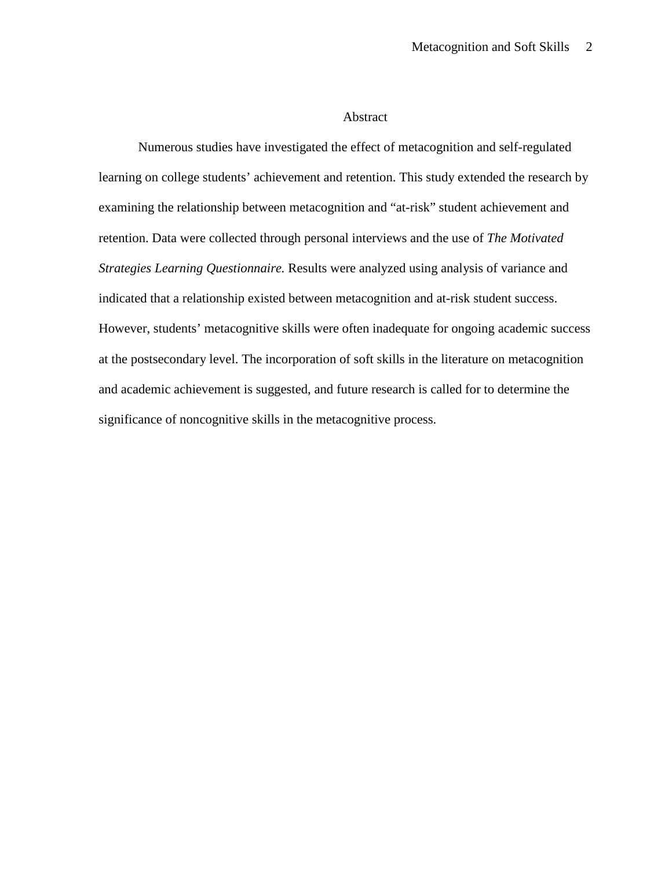# Abstract

Numerous studies have investigated the effect of metacognition and self-regulated learning on college students' achievement and retention. This study extended the research by examining the relationship between metacognition and "at-risk" student achievement and retention. Data were collected through personal interviews and the use of *The Motivated Strategies Learning Questionnaire.* Results were analyzed using analysis of variance and indicated that a relationship existed between metacognition and at-risk student success. However, students' metacognitive skills were often inadequate for ongoing academic success at the postsecondary level. The incorporation of soft skills in the literature on metacognition and academic achievement is suggested, and future research is called for to determine the significance of noncognitive skills in the metacognitive process.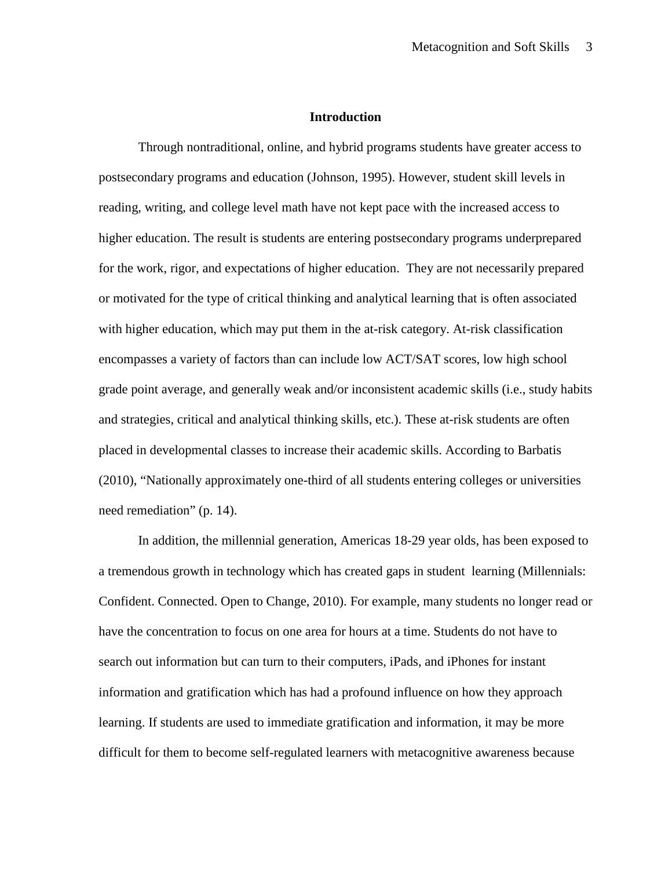# **Introduction**

Through nontraditional, online, and hybrid programs students have greater access to postsecondary programs and education (Johnson, 1995). However, student skill levels in reading, writing, and college level math have not kept pace with the increased access to higher education. The result is students are entering postsecondary programs underprepared for the work, rigor, and expectations of higher education. They are not necessarily prepared or motivated for the type of critical thinking and analytical learning that is often associated with higher education, which may put them in the at-risk category. At-risk classification encompasses a variety of factors than can include low ACT/SAT scores, low high school grade point average, and generally weak and/or inconsistent academic skills (i.e., study habits and strategies, critical and analytical thinking skills, etc.). These at-risk students are often placed in developmental classes to increase their academic skills. According to Barbatis (2010), "Nationally approximately one-third of all students entering colleges or universities need remediation" (p. 14).

In addition, the millennial generation, Americas 18-29 year olds, has been exposed to a tremendous growth in technology which has created gaps in student learning (Millennials: Confident. Connected. Open to Change, 2010). For example, many students no longer read or have the concentration to focus on one area for hours at a time. Students do not have to search out information but can turn to their computers, iPads, and iPhones for instant information and gratification which has had a profound influence on how they approach learning. If students are used to immediate gratification and information, it may be more difficult for them to become self-regulated learners with metacognitive awareness because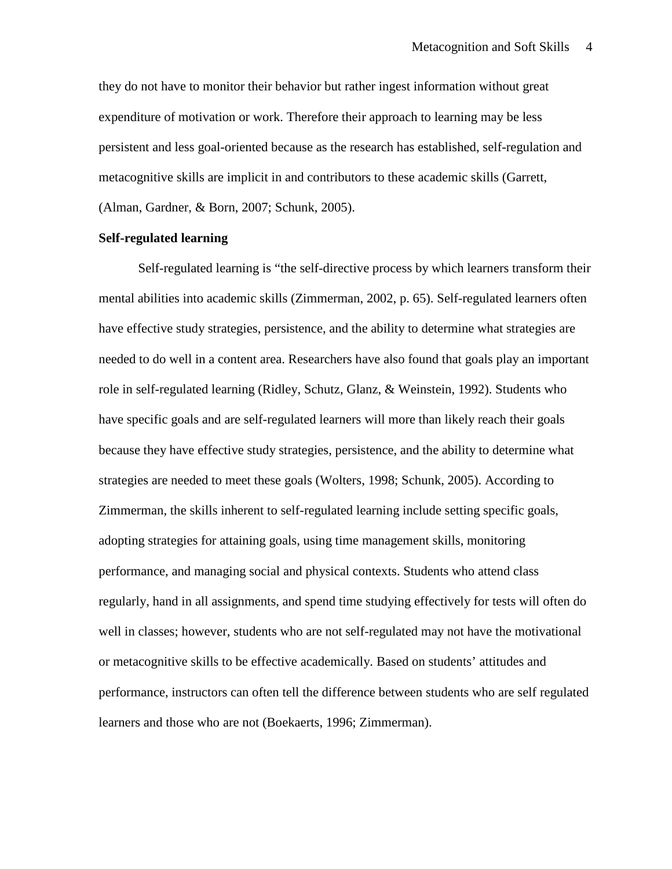they do not have to monitor their behavior but rather ingest information without great expenditure of motivation or work. Therefore their approach to learning may be less persistent and less goal-oriented because as the research has established, self-regulation and metacognitive skills are implicit in and contributors to these academic skills (Garrett, (Alman, Gardner, & Born, 2007; Schunk, 2005).

## **Self-regulated learning**

Self-regulated learning is "the self-directive process by which learners transform their mental abilities into academic skills (Zimmerman, 2002, p. 65). Self-regulated learners often have effective study strategies, persistence, and the ability to determine what strategies are needed to do well in a content area. Researchers have also found that goals play an important role in self-regulated learning (Ridley, Schutz, Glanz, & Weinstein, 1992). Students who have specific goals and are self-regulated learners will more than likely reach their goals because they have effective study strategies, persistence, and the ability to determine what strategies are needed to meet these goals (Wolters, 1998; Schunk, 2005). According to Zimmerman, the skills inherent to self-regulated learning include setting specific goals, adopting strategies for attaining goals, using time management skills, monitoring performance, and managing social and physical contexts. Students who attend class regularly, hand in all assignments, and spend time studying effectively for tests will often do well in classes; however, students who are not self-regulated may not have the motivational or metacognitive skills to be effective academically. Based on students' attitudes and performance, instructors can often tell the difference between students who are self regulated learners and those who are not (Boekaerts, 1996; Zimmerman).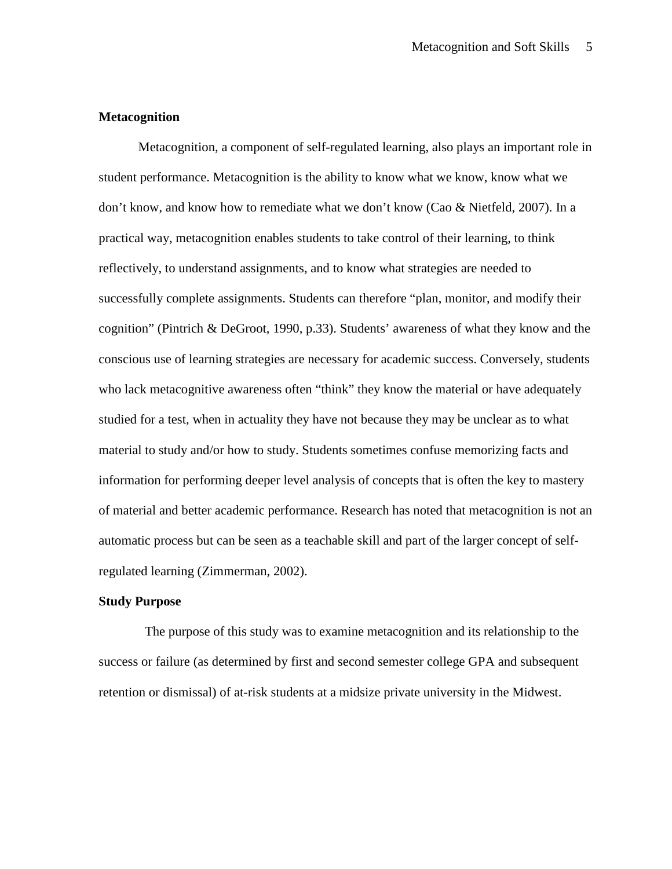# **Metacognition**

 Metacognition, a component of self-regulated learning, also plays an important role in student performance. Metacognition is the ability to know what we know, know what we don't know, and know how to remediate what we don't know (Cao & Nietfeld, 2007). In a practical way, metacognition enables students to take control of their learning, to think reflectively, to understand assignments, and to know what strategies are needed to successfully complete assignments. Students can therefore "plan, monitor, and modify their cognition" (Pintrich & DeGroot, 1990, p.33). Students' awareness of what they know and the conscious use of learning strategies are necessary for academic success. Conversely, students who lack metacognitive awareness often "think" they know the material or have adequately studied for a test, when in actuality they have not because they may be unclear as to what material to study and/or how to study. Students sometimes confuse memorizing facts and information for performing deeper level analysis of concepts that is often the key to mastery of material and better academic performance. Research has noted that metacognition is not an automatic process but can be seen as a teachable skill and part of the larger concept of selfregulated learning (Zimmerman, 2002).

### **Study Purpose**

 The purpose of this study was to examine metacognition and its relationship to the success or failure (as determined by first and second semester college GPA and subsequent retention or dismissal) of at-risk students at a midsize private university in the Midwest.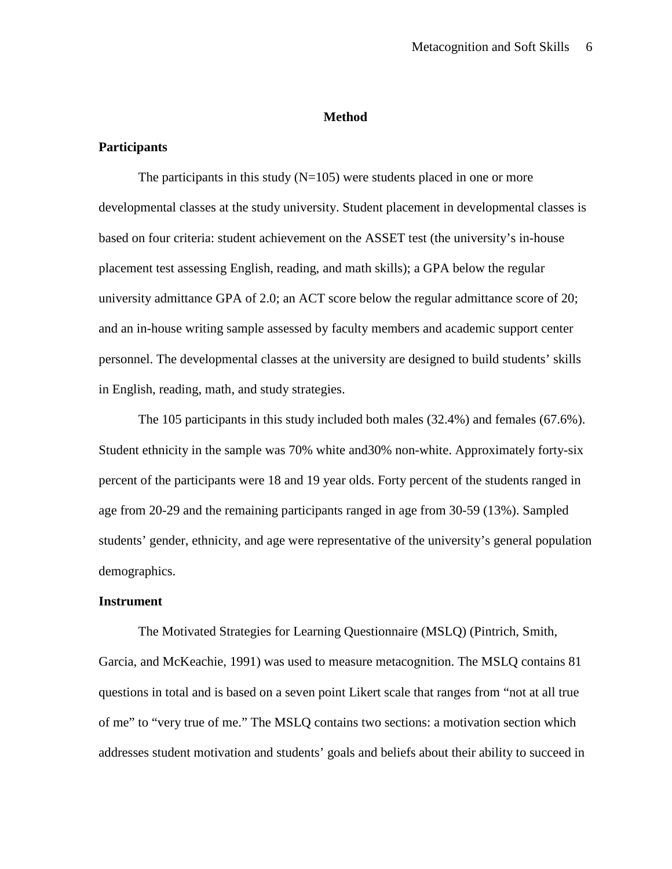### **Method**

# **Participants**

The participants in this study  $(N=105)$  were students placed in one or more developmental classes at the study university. Student placement in developmental classes is based on four criteria: student achievement on the ASSET test (the university's in-house placement test assessing English, reading, and math skills); a GPA below the regular university admittance GPA of 2.0; an ACT score below the regular admittance score of 20; and an in-house writing sample assessed by faculty members and academic support center personnel. The developmental classes at the university are designed to build students' skills in English, reading, math, and study strategies.

 The 105 participants in this study included both males (32.4%) and females (67.6%). Student ethnicity in the sample was 70% white and30% non-white. Approximately forty-six percent of the participants were 18 and 19 year olds. Forty percent of the students ranged in age from 20-29 and the remaining participants ranged in age from 30-59 (13%). Sampled students' gender, ethnicity, and age were representative of the university's general population demographics.

### **Instrument**

The Motivated Strategies for Learning Questionnaire (MSLQ) (Pintrich, Smith, Garcia, and McKeachie, 1991) was used to measure metacognition. The MSLQ contains 81 questions in total and is based on a seven point Likert scale that ranges from "not at all true of me" to "very true of me." The MSLQ contains two sections: a motivation section which addresses student motivation and students' goals and beliefs about their ability to succeed in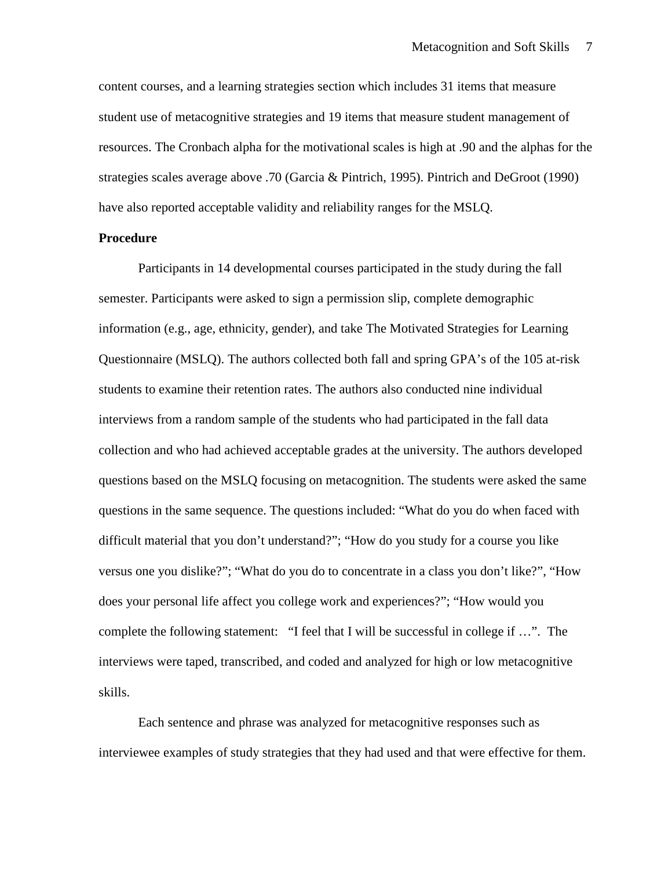content courses, and a learning strategies section which includes 31 items that measure student use of metacognitive strategies and 19 items that measure student management of resources. The Cronbach alpha for the motivational scales is high at .90 and the alphas for the strategies scales average above .70 (Garcia & Pintrich, 1995). Pintrich and DeGroot (1990) have also reported acceptable validity and reliability ranges for the MSLQ.

### **Procedure**

Participants in 14 developmental courses participated in the study during the fall semester. Participants were asked to sign a permission slip, complete demographic information (e.g., age, ethnicity, gender), and take The Motivated Strategies for Learning Questionnaire (MSLQ). The authors collected both fall and spring GPA's of the 105 at-risk students to examine their retention rates. The authors also conducted nine individual interviews from a random sample of the students who had participated in the fall data collection and who had achieved acceptable grades at the university. The authors developed questions based on the MSLQ focusing on metacognition. The students were asked the same questions in the same sequence. The questions included: "What do you do when faced with difficult material that you don't understand?"; "How do you study for a course you like versus one you dislike?"; "What do you do to concentrate in a class you don't like?", "How does your personal life affect you college work and experiences?"; "How would you complete the following statement: "I feel that I will be successful in college if …". The interviews were taped, transcribed, and coded and analyzed for high or low metacognitive skills.

Each sentence and phrase was analyzed for metacognitive responses such as interviewee examples of study strategies that they had used and that were effective for them.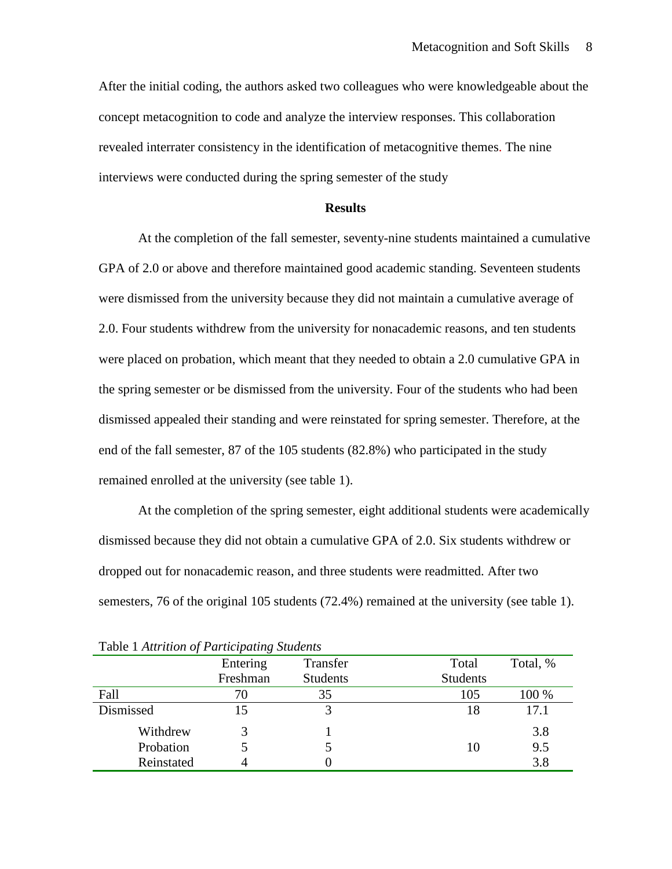After the initial coding, the authors asked two colleagues who were knowledgeable about the concept metacognition to code and analyze the interview responses. This collaboration revealed interrater consistency in the identification of metacognitive themes. The nine interviews were conducted during the spring semester of the study

#### **Results**

At the completion of the fall semester, seventy-nine students maintained a cumulative GPA of 2.0 or above and therefore maintained good academic standing. Seventeen students were dismissed from the university because they did not maintain a cumulative average of 2.0. Four students withdrew from the university for nonacademic reasons, and ten students were placed on probation, which meant that they needed to obtain a 2.0 cumulative GPA in the spring semester or be dismissed from the university. Four of the students who had been dismissed appealed their standing and were reinstated for spring semester. Therefore, at the end of the fall semester, 87 of the 105 students (82.8%) who participated in the study remained enrolled at the university (see table 1).

At the completion of the spring semester, eight additional students were academically dismissed because they did not obtain a cumulative GPA of 2.0. Six students withdrew or dropped out for nonacademic reason, and three students were readmitted. After two semesters, 76 of the original 105 students (72.4%) remained at the university (see table 1).

| Tuble 1 There were of I an incepaning Branching |          |                 |                 |          |  |  |
|-------------------------------------------------|----------|-----------------|-----------------|----------|--|--|
|                                                 | Entering | Transfer        | Total           | Total, % |  |  |
|                                                 | Freshman | <b>Students</b> | <b>Students</b> |          |  |  |
| Fall                                            | 70       | 35              | 105             | 100 %    |  |  |
| Dismissed                                       |          |                 | 18              | 17.1     |  |  |
| Withdrew                                        |          |                 |                 | 3.8      |  |  |
| Probation                                       |          |                 | 10              | 9.5      |  |  |
| Reinstated                                      |          |                 |                 | 3.8      |  |  |

Table 1 *Attrition of Participating Students*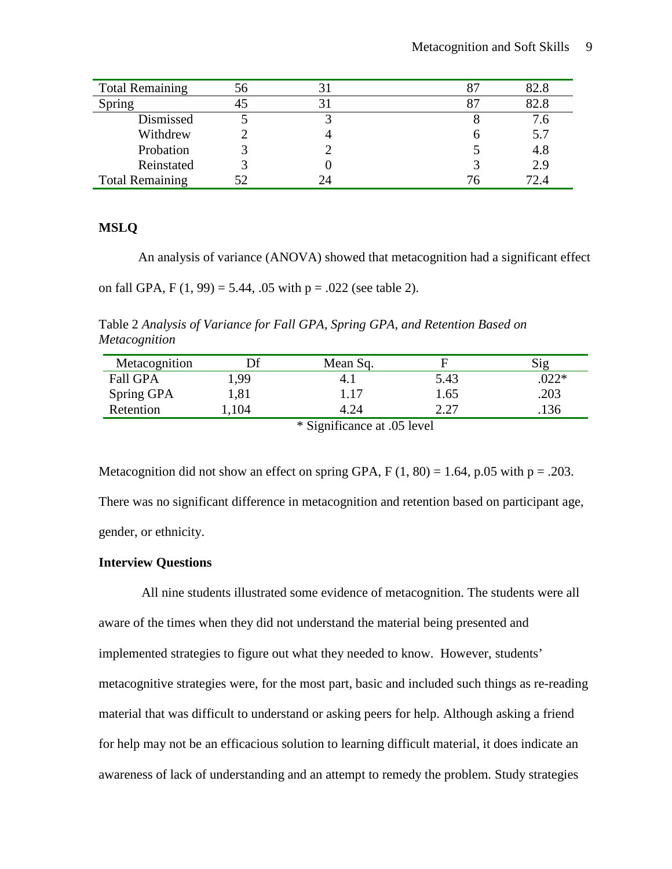| <b>Total Remaining</b> | 56 |    | 82.8 |
|------------------------|----|----|------|
| <b>Spring</b>          |    |    | 82.8 |
| Dismissed              |    |    | 7.6  |
| Withdrew               |    |    | 5.7  |
| Probation              |    |    | 4.8  |
| Reinstated             |    |    | 2.9  |
| <b>Total Remaining</b> |    | 24 | 72.4 |

# **MSLQ**

An analysis of variance (ANOVA) showed that metacognition had a significant effect

on fall GPA,  $F(1, 99) = 5.44$ , .05 with  $p = .022$  (see table 2).

Table 2 *Analysis of Variance for Fall GPA, Spring GPA, and Retention Based on Metacognition*

| Metacognition                                         | Эf   | Mean Sq. | ь    |        |  |
|-------------------------------------------------------|------|----------|------|--------|--|
| <b>Fall GPA</b>                                       | 1,99 | 4. I     | 5.43 | $022*$ |  |
| Spring GPA                                            | 1,81 | l.17     | 1.65 | .203   |  |
| Retention                                             | 104  | 4.24     | רר ר | .136   |  |
| $\&$ C <sub>i</sub> $$ $\&$ cannot be $\&$ $\&$ layed |      |          |      |        |  |

\* Significance at .05 level

Metacognition did not show an effect on spring GPA,  $F(1, 80) = 1.64$ , p.05 with p = .203.

There was no significant difference in metacognition and retention based on participant age, gender, or ethnicity.

# **Interview Questions**

All nine students illustrated some evidence of metacognition. The students were all aware of the times when they did not understand the material being presented and implemented strategies to figure out what they needed to know. However, students' metacognitive strategies were, for the most part, basic and included such things as re-reading material that was difficult to understand or asking peers for help. Although asking a friend for help may not be an efficacious solution to learning difficult material, it does indicate an awareness of lack of understanding and an attempt to remedy the problem. Study strategies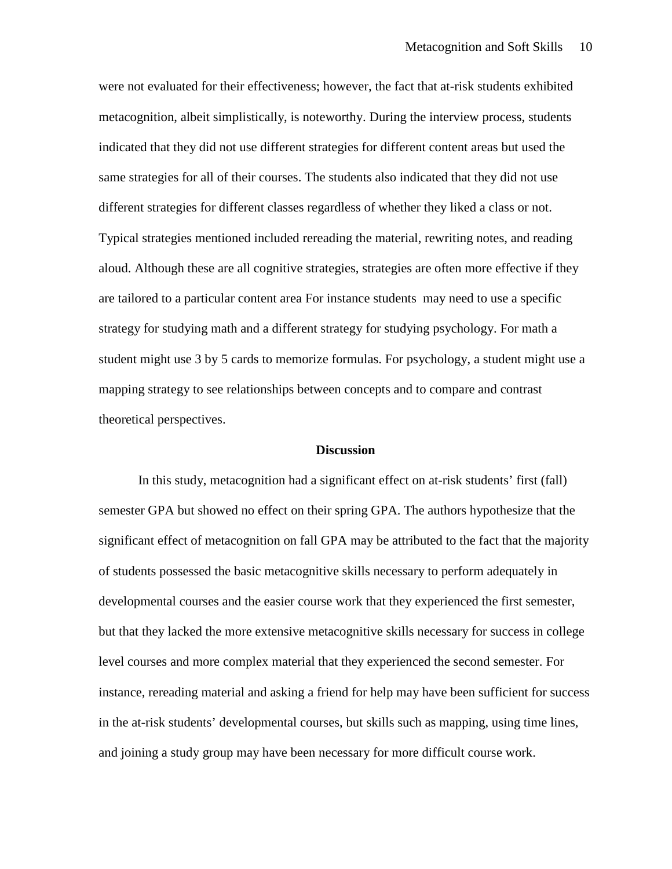were not evaluated for their effectiveness; however, the fact that at-risk students exhibited metacognition, albeit simplistically, is noteworthy. During the interview process, students indicated that they did not use different strategies for different content areas but used the same strategies for all of their courses. The students also indicated that they did not use different strategies for different classes regardless of whether they liked a class or not. Typical strategies mentioned included rereading the material, rewriting notes, and reading aloud. Although these are all cognitive strategies, strategies are often more effective if they are tailored to a particular content area For instance students may need to use a specific strategy for studying math and a different strategy for studying psychology. For math a student might use 3 by 5 cards to memorize formulas. For psychology, a student might use a mapping strategy to see relationships between concepts and to compare and contrast theoretical perspectives.

#### **Discussion**

In this study, metacognition had a significant effect on at-risk students' first (fall) semester GPA but showed no effect on their spring GPA. The authors hypothesize that the significant effect of metacognition on fall GPA may be attributed to the fact that the majority of students possessed the basic metacognitive skills necessary to perform adequately in developmental courses and the easier course work that they experienced the first semester, but that they lacked the more extensive metacognitive skills necessary for success in college level courses and more complex material that they experienced the second semester. For instance, rereading material and asking a friend for help may have been sufficient for success in the at-risk students' developmental courses, but skills such as mapping, using time lines, and joining a study group may have been necessary for more difficult course work.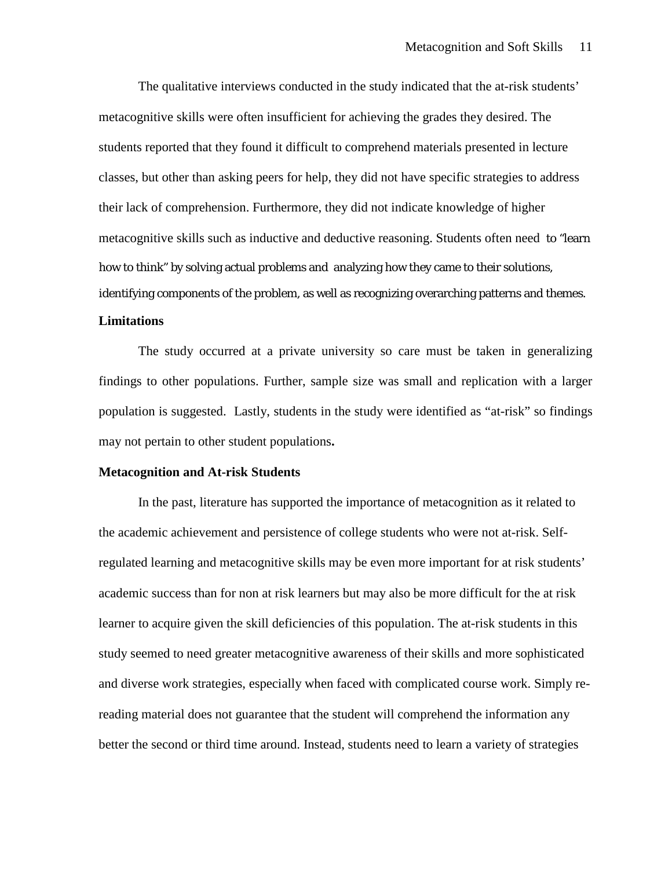The qualitative interviews conducted in the study indicated that the at-risk students' metacognitive skills were often insufficient for achieving the grades they desired. The students reported that they found it difficult to comprehend materials presented in lecture classes, but other than asking peers for help, they did not have specific strategies to address their lack of comprehension. Furthermore, they did not indicate knowledge of higher metacognitive skills such as inductive and deductive reasoning. Students often need to "learn how to think" by solving actual problems and analyzing how they came to their solutions, identifying components of the problem, as well as recognizing overarching patterns and themes.

# **Limitations**

The study occurred at a private university so care must be taken in generalizing findings to other populations. Further, sample size was small and replication with a larger population is suggested. Lastly, students in the study were identified as "at-risk" so findings may not pertain to other student populations**.**

## **Metacognition and At-risk Students**

In the past, literature has supported the importance of metacognition as it related to the academic achievement and persistence of college students who were not at-risk. Selfregulated learning and metacognitive skills may be even more important for at risk students' academic success than for non at risk learners but may also be more difficult for the at risk learner to acquire given the skill deficiencies of this population. The at-risk students in this study seemed to need greater metacognitive awareness of their skills and more sophisticated and diverse work strategies, especially when faced with complicated course work. Simply rereading material does not guarantee that the student will comprehend the information any better the second or third time around. Instead, students need to learn a variety of strategies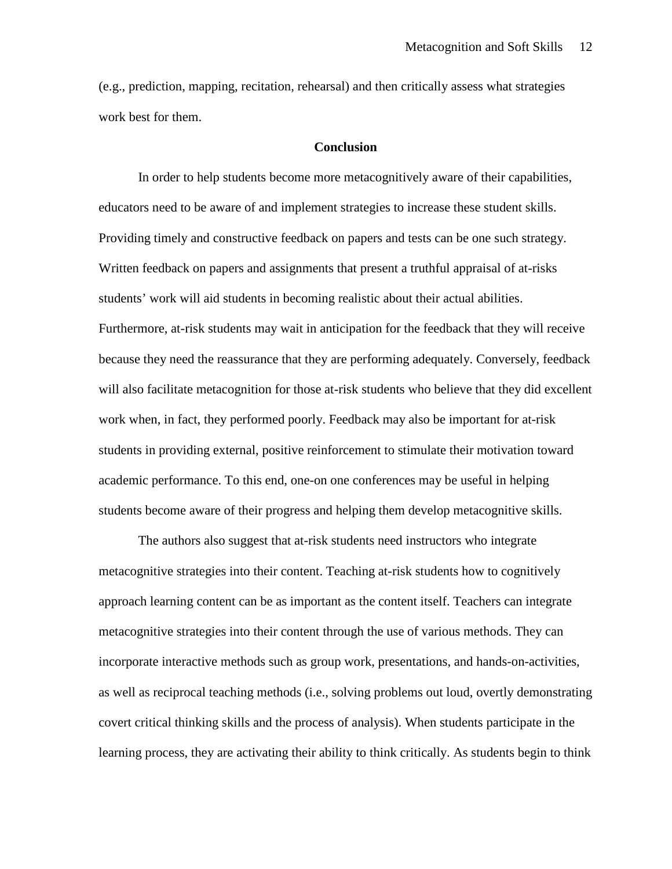(e.g., prediction, mapping, recitation, rehearsal) and then critically assess what strategies work best for them.

## **Conclusion**

In order to help students become more metacognitively aware of their capabilities, educators need to be aware of and implement strategies to increase these student skills. Providing timely and constructive feedback on papers and tests can be one such strategy. Written feedback on papers and assignments that present a truthful appraisal of at-risks students' work will aid students in becoming realistic about their actual abilities. Furthermore, at-risk students may wait in anticipation for the feedback that they will receive because they need the reassurance that they are performing adequately. Conversely, feedback will also facilitate metacognition for those at-risk students who believe that they did excellent work when, in fact, they performed poorly. Feedback may also be important for at-risk students in providing external, positive reinforcement to stimulate their motivation toward academic performance. To this end, one-on one conferences may be useful in helping students become aware of their progress and helping them develop metacognitive skills.

The authors also suggest that at-risk students need instructors who integrate metacognitive strategies into their content. Teaching at-risk students how to cognitively approach learning content can be as important as the content itself. Teachers can integrate metacognitive strategies into their content through the use of various methods. They can incorporate interactive methods such as group work, presentations, and hands-on-activities, as well as reciprocal teaching methods (i.e., solving problems out loud, overtly demonstrating covert critical thinking skills and the process of analysis). When students participate in the learning process, they are activating their ability to think critically. As students begin to think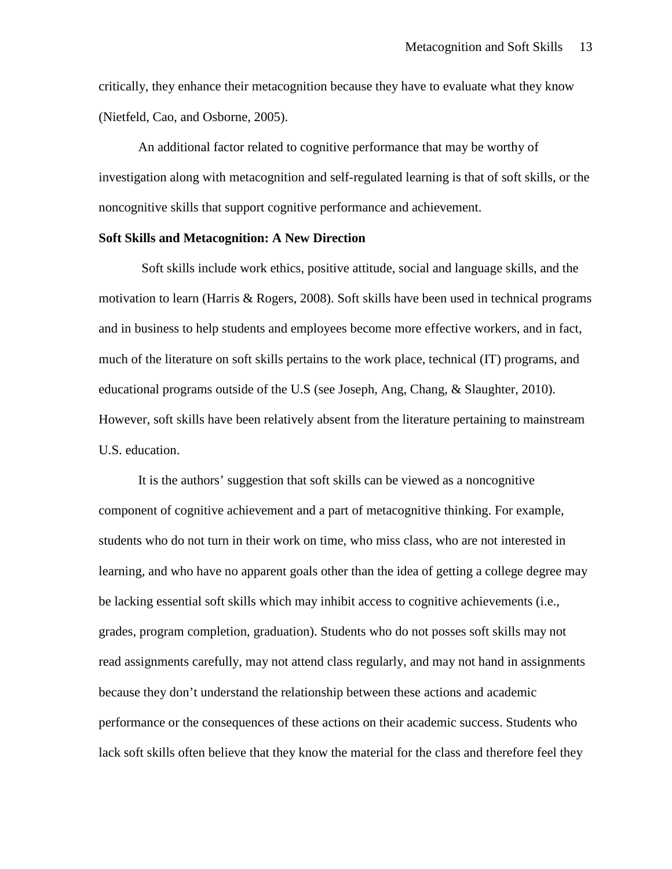critically, they enhance their metacognition because they have to evaluate what they know (Nietfeld, Cao, and Osborne, 2005).

An additional factor related to cognitive performance that may be worthy of investigation along with metacognition and self-regulated learning is that of soft skills, or the noncognitive skills that support cognitive performance and achievement.

# **Soft Skills and Metacognition: A New Direction**

Soft skills include work ethics, positive attitude, social and language skills, and the motivation to learn (Harris & Rogers, 2008). Soft skills have been used in technical programs and in business to help students and employees become more effective workers, and in fact, much of the literature on soft skills pertains to the work place, technical (IT) programs, and educational programs outside of the U.S (see Joseph, Ang, Chang, & Slaughter, 2010). However, soft skills have been relatively absent from the literature pertaining to mainstream U.S. education.

It is the authors' suggestion that soft skills can be viewed as a noncognitive component of cognitive achievement and a part of metacognitive thinking. For example, students who do not turn in their work on time, who miss class, who are not interested in learning, and who have no apparent goals other than the idea of getting a college degree may be lacking essential soft skills which may inhibit access to cognitive achievements (i.e., grades, program completion, graduation). Students who do not posses soft skills may not read assignments carefully, may not attend class regularly, and may not hand in assignments because they don't understand the relationship between these actions and academic performance or the consequences of these actions on their academic success. Students who lack soft skills often believe that they know the material for the class and therefore feel they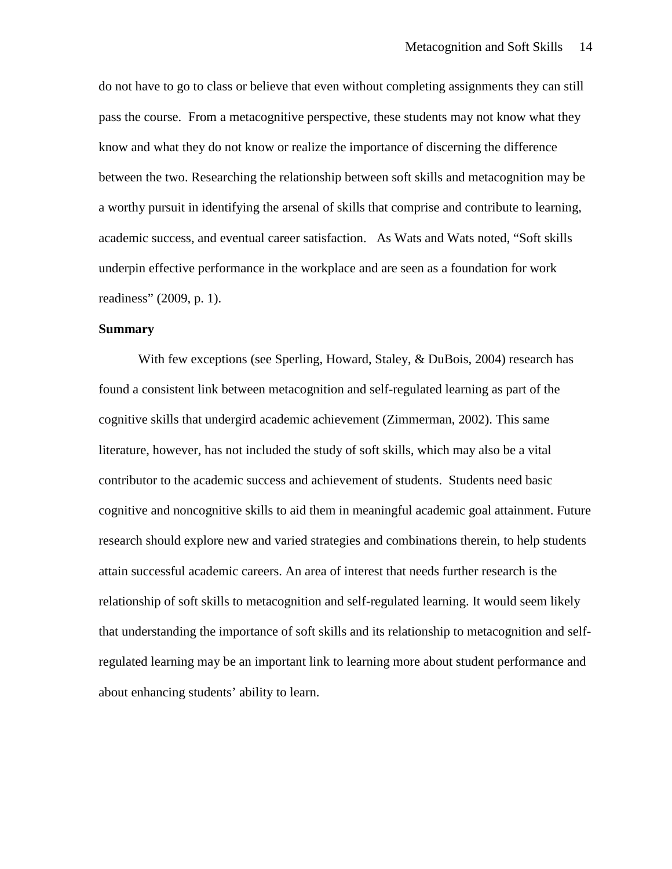do not have to go to class or believe that even without completing assignments they can still pass the course. From a metacognitive perspective, these students may not know what they know and what they do not know or realize the importance of discerning the difference between the two. Researching the relationship between soft skills and metacognition may be a worthy pursuit in identifying the arsenal of skills that comprise and contribute to learning, academic success, and eventual career satisfaction. As Wats and Wats noted, "Soft skills underpin effective performance in the workplace and are seen as a foundation for work readiness" (2009, p. 1).

### **Summary**

With few exceptions (see Sperling, Howard, Staley, & DuBois, 2004) research has found a consistent link between metacognition and self-regulated learning as part of the cognitive skills that undergird academic achievement (Zimmerman, 2002). This same literature, however, has not included the study of soft skills, which may also be a vital contributor to the academic success and achievement of students. Students need basic cognitive and noncognitive skills to aid them in meaningful academic goal attainment. Future research should explore new and varied strategies and combinations therein, to help students attain successful academic careers. An area of interest that needs further research is the relationship of soft skills to metacognition and self-regulated learning. It would seem likely that understanding the importance of soft skills and its relationship to metacognition and selfregulated learning may be an important link to learning more about student performance and about enhancing students' ability to learn.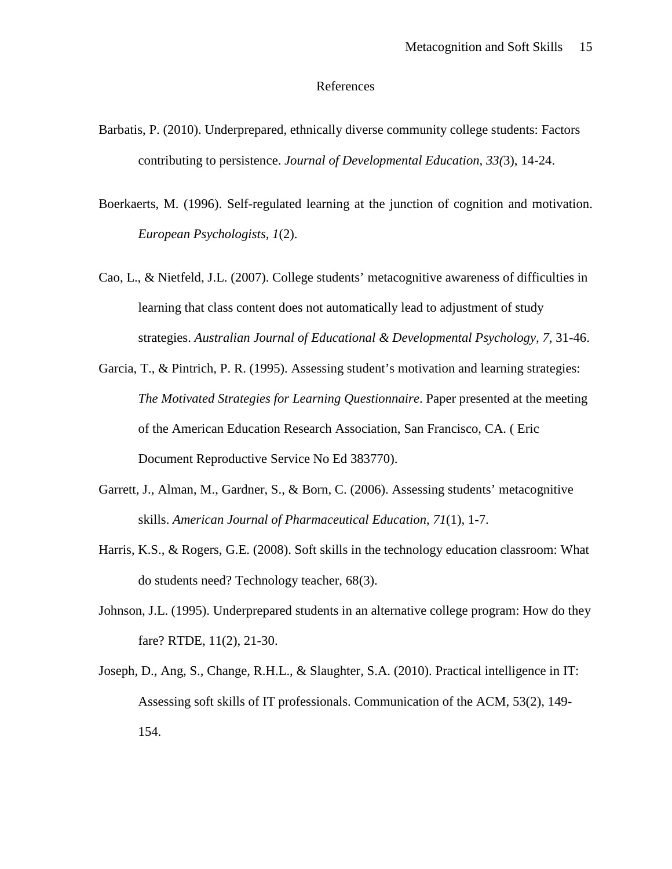#### References

- Barbatis, P. (2010). Underprepared, ethnically diverse community college students: Factors contributing to persistence. *Journal of Developmental Education, 33(*3), 14-24.
- Boerkaerts, M. (1996). Self-regulated learning at the junction of cognition and motivation. *European Psychologists, 1*(2).
- Cao, L., & Nietfeld, J.L. (2007). College students' metacognitive awareness of difficulties in learning that class content does not automatically lead to adjustment of study strategies. *Australian Journal of Educational & Developmental Psychology, 7,* 31-46.
- Garcia, T., & Pintrich, P. R. (1995). Assessing student's motivation and learning strategies: *The Motivated Strategies for Learning Questionnaire*. Paper presented at the meeting of the American Education Research Association, San Francisco, CA. ( Eric Document Reproductive Service No Ed 383770).
- Garrett, J., Alman, M., Gardner, S., & Born, C. (2006). Assessing students' metacognitive skills. *American Journal of Pharmaceutical Education, 71*(1), 1-7.
- Harris, K.S., & Rogers, G.E. (2008). Soft skills in the technology education classroom: What do students need? Technology teacher, 68(3).
- Johnson, J.L. (1995). Underprepared students in an alternative college program: How do they fare? RTDE, 11(2), 21-30.
- Joseph, D., Ang, S., Change, R.H.L., & Slaughter, S.A. (2010). Practical intelligence in IT: Assessing soft skills of IT professionals. Communication of the ACM, 53(2), 149- 154.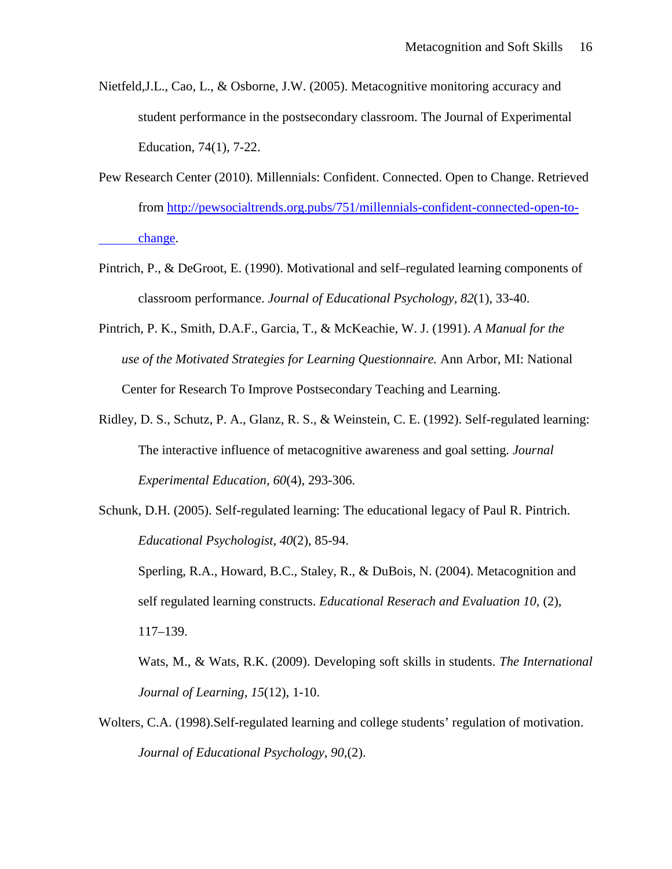- Nietfeld,J.L., Cao, L., & Osborne, J.W. (2005). Metacognitive monitoring accuracy and student performance in the postsecondary classroom. The Journal of Experimental Education, 74(1), 7-22.
- Pew Research Center (2010). Millennials: Confident. Connected. Open to Change. Retrieved from [http://pewsocialtrends.org.pubs/751/millennials-confident-connected-open-to](http://pewsocialtrends.org.pubs/751/millennials-confident-connected-open-to-change)[change.](http://pewsocialtrends.org.pubs/751/millennials-confident-connected-open-to-change)
- Pintrich, P., & DeGroot, E. (1990). Motivational and self–regulated learning components of classroom performance. *Journal of Educational Psychology, 82*(1), 33-40.
- Pintrich, P. K., Smith, D.A.F., Garcia, T., & McKeachie, W. J. (1991). *A Manual for the use of the Motivated Strategies for Learning Questionnaire.* Ann Arbor, MI: National Center for Research To Improve Postsecondary Teaching and Learning.
- Ridley, D. S., Schutz, P. A., Glanz, R. S., & Weinstein, C. E. (1992). Self-regulated learning: The interactive influence of metacognitive awareness and goal setting. *Journal Experimental Education, 60*(4), 293-306.
- Schunk, D.H. (2005). Self-regulated learning: The educational legacy of Paul R. Pintrich. *Educational Psychologist, 40*(2), 85-94.

Sperling, R.A., Howard, B.C., Staley, R., & DuBois, N. (2004). Metacognition and self regulated learning constructs. *Educational Reserach and Evaluation 10,* (2), 117–139.

Wats, M., & Wats, R.K. (2009). Developing soft skills in students. *The International Journal of Learning, 15*(12), 1-10.

Wolters, C.A. (1998).Self-regulated learning and college students' regulation of motivation. *Journal of Educational Psychology, 90*,(2).